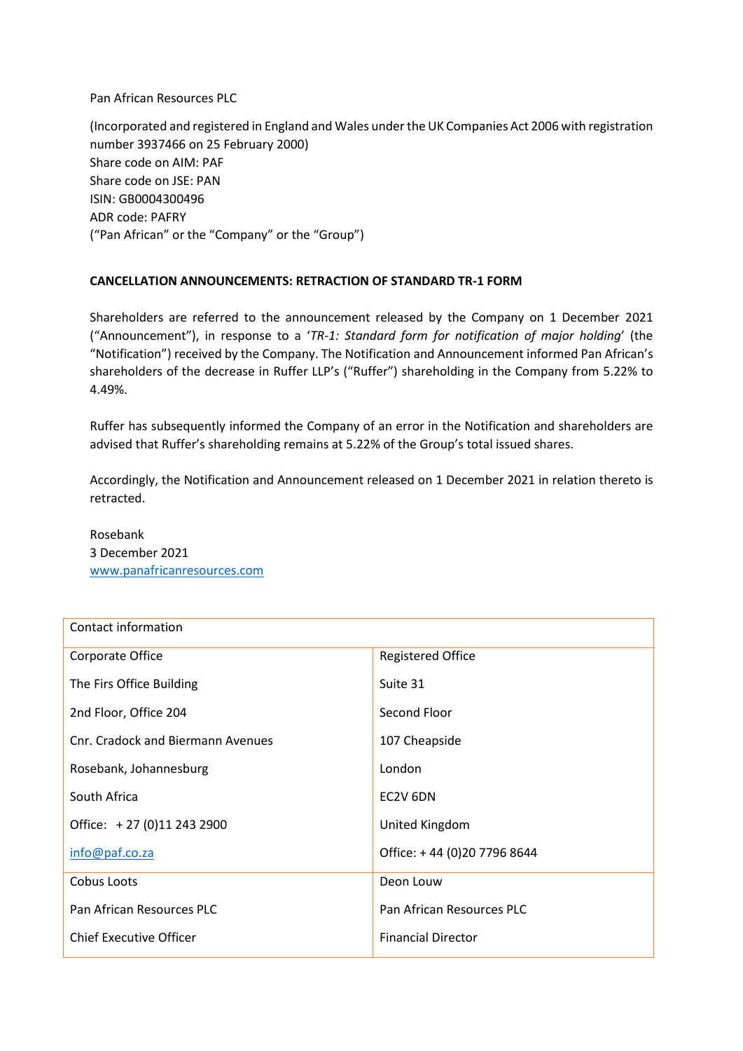Pan African Resources PLC

(Incorporated and registered in England and Wales under the UK Companies Act 2006 with registration number 3937466 on 25 February 2000) Share code on AIM: PAF Share code on JSE: PAN ISIN: GB0004300496 ADR code: PAFRY ("Pan African" or the "Company" or the "Group")

## **CANCELLATION ANNOUNCEMENTS: RETRACTION OF STANDARD TR-1 FORM**

Shareholders are referred to the announcement released by the Company on 1 December 2021 ("Announcement"), in response to a '*TR-1: Standard form for notification of major holding*' (the "Notification") received by the Company. The Notification and Announcement informed Pan African's shareholders of the decrease in Ruffer LLP's ("Ruffer") shareholding in the Company from 5.22% to 4.49%.

Ruffer has subsequently informed the Company of an error in the Notification and shareholders are advised that Ruffer's shareholding remains at 5.22% of the Group's total issued shares.

Accordingly, the Notification and Announcement released on 1 December 2021 in relation thereto is retracted.

Rosebank 3 December 2021 [www.panafricanresources.com](http://www.panafricanresources.com/)

| Contact information               |                             |
|-----------------------------------|-----------------------------|
| Corporate Office                  | <b>Registered Office</b>    |
| The Firs Office Building          | Suite 31                    |
| 2nd Floor, Office 204             | Second Floor                |
| Cnr. Cradock and Biermann Avenues | 107 Cheapside               |
| Rosebank, Johannesburg            | London                      |
| South Africa                      | EC2V 6DN                    |
| Office: +27 (0)11 243 2900        | United Kingdom              |
| info@paf.co.za                    | Office: +44 (0)20 7796 8644 |
| Cobus Loots                       | Deon Louw                   |
| Pan African Resources PLC         | Pan African Resources PLC   |
| <b>Chief Executive Officer</b>    | <b>Financial Director</b>   |